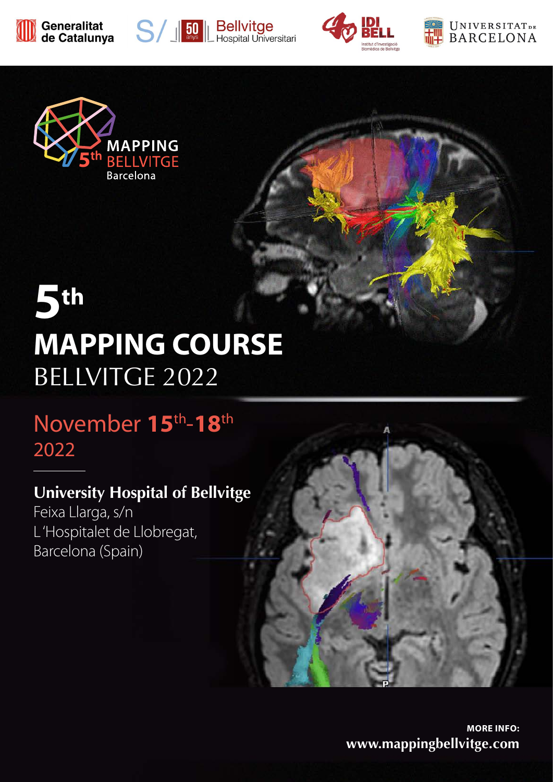









# **5th MAPPING COURSE**  BELLVITGE 2022

## November **15**th-**18**th 2022

## **University Hospital of Bellvitge**

Feixa Llarga, s/n L 'Hospitalet de Llobregat, Barcelona (Spain)



**MORE INFO: www.mappingbellvitge.com**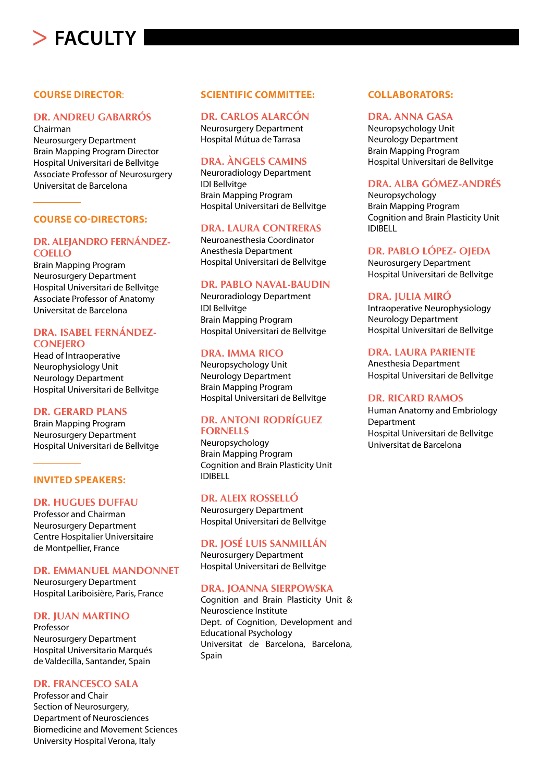## **FACULTY**

#### **COURSE DIRECTOR**:

#### **DR. ANDREU GABARRÓS**

Chairman Neurosurgery Department Brain Mapping Program Director Hospital Universitari de Bellvitge Associate Professor of Neurosurgery Universitat de Barcelona

#### **COURSE CO-DIRECTORS:**

#### **DR. ALEJANDRO FERNÁNDEZ-COELLO**

Brain Mapping Program Neurosurgery Department Hospital Universitari de Bellvitge Associate Professor of Anatomy Universitat de Barcelona

#### **DRA. ISABEL FERNÁNDEZ-CONEJERO**

Head of Intraoperative Neurophysiology Unit Neurology Department Hospital Universitari de Bellvitge

#### **DR. GERARD PLANS**

Brain Mapping Program Neurosurgery Department Hospital Universitari de Bellvitge

#### **INVITED SPEAKERS:**

#### **DR. HUGUES DUFFAU**

Professor and Chairman Neurosurgery Department Centre Hospitalier Universitaire de Montpellier, France

#### **DR. EMMANUEL MANDONNET**

Neurosurgery Department Hospital Lariboisière, Paris, France

#### **DR. JUAN MARTINO**

Professor Neurosurgery Department Hospital Universitario Marqués de Valdecilla, Santander, Spain

#### **DR. FRANCESCO SALA**

Professor and Chair Section of Neurosurgery, Department of Neurosciences Biomedicine and Movement Sciences University Hospital Verona, Italy

#### **SCIENTIFIC COMMITTEE:**

#### **DR. CARLOS ALARCÓN**

Neurosurgery Department Hospital Mútua de Tarrasa

#### **DRA. ÀNGELS CAMINS**

Neuroradiology Department IDI Bellvitge Brain Mapping Program Hospital Universitari de Bellvitge

#### **DRA. LAURA CONTRERAS**

Neuroanesthesia Coordinator Anesthesia Department Hospital Universitari de Bellvitge

#### **DR. PABLO NAVAL-BAUDIN**

Neuroradiology Department IDI Bellvitge Brain Mapping Program Hospital Universitari de Bellvitge

#### **DRA. IMMA RICO**

Neuropsychology Unit Neurology Department Brain Mapping Program Hospital Universitari de Bellvitge

#### **DR. ANTONI RODRÍGUEZ FORNELLS**

Neuropsychology Brain Mapping Program Cognition and Brain Plasticity Unit IDIBELL

#### **DR. ALEIX ROSSELLÓ**

Neurosurgery Department Hospital Universitari de Bellvitge

#### **DR. JOSÉ LUIS SANMILLÁN**

Neurosurgery Department Hospital Universitari de Bellvitge

#### **DRA. JOANNA SIERPOWSKA**

Cognition and Brain Plasticity Unit & Neuroscience Institute Dept. of Cognition, Development and Educational Psychology Universitat de Barcelona, Barcelona, Spain

#### **COLLABORATORS:**

#### **DRA. ANNA GASA**

Neuropsychology Unit Neurology Department Brain Mapping Program Hospital Universitari de Bellvitge

#### **DRA. ALBA GÓMEZ-ANDRÉS**

Neuropsychology Brain Mapping Program Cognition and Brain Plasticity Unit IDIBELL

#### **DR. PABLO LÓPEZ- OJEDA**

Neurosurgery Department Hospital Universitari de Bellvitge

#### **DRA. JULIA MIRÓ**

Intraoperative Neurophysiology Neurology Department Hospital Universitari de Bellvitge

#### **DRA. LAURA PARIENTE**

Anesthesia Department Hospital Universitari de Bellvitge

#### **DR. RICARD RAMOS**

Human Anatomy and Embriology **Department** Hospital Universitari de Bellvitge Universitat de Barcelona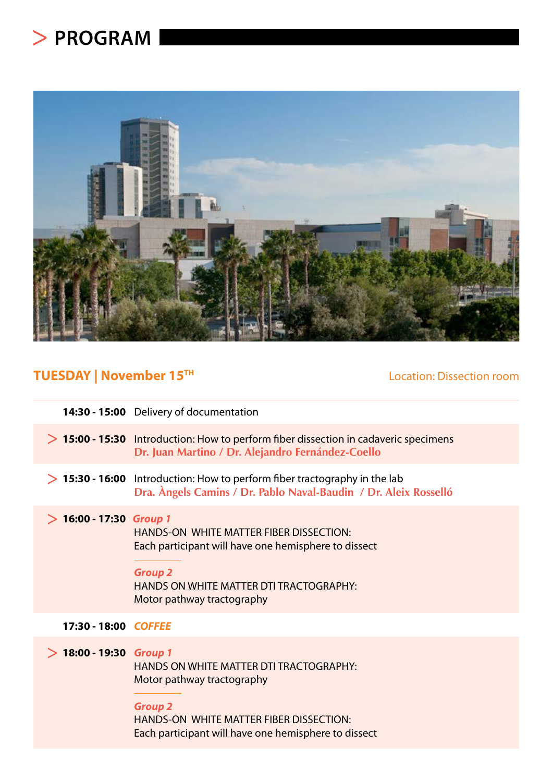## **PROGRAM**



## **TUESDAY | November 15<sup>TH</sup> Location: Dissection room**

|                           | 14:30 - 15:00 Delivery of documentation                                                                                                                                                           |
|---------------------------|---------------------------------------------------------------------------------------------------------------------------------------------------------------------------------------------------|
|                           | > 15:00 - 15:30 Introduction: How to perform fiber dissection in cadaveric specimens<br>Dr. Juan Martino / Dr. Alejandro Fernández-Coello                                                         |
|                           | $> 15:30$ - 16:00 Introduction: How to perform fiber tractography in the lab<br>Dra. Àngels Camins / Dr. Pablo Naval-Baudin / Dr. Aleix Rosselló                                                  |
| $> 16:00 - 17:30$ Group 1 | <b>HANDS-ON WHITE MATTER FIBER DISSECTION:</b><br>Each participant will have one hemisphere to dissect<br><b>Group 2</b><br>HANDS ON WHITE MATTER DTI TRACTOGRAPHY:<br>Motor pathway tractography |
| 17:30 - 18:00 COFFEE      |                                                                                                                                                                                                   |
| $>$ 18:00 - 19:30 Group 1 | HANDS ON WHITE MATTER DTI TRACTOGRAPHY:<br>Motor pathway tractography<br><b>Group 2</b><br>HANDS-ON WHITE MATTER FIBER DISSECTION:<br>Each participant will have one hemisphere to dissect        |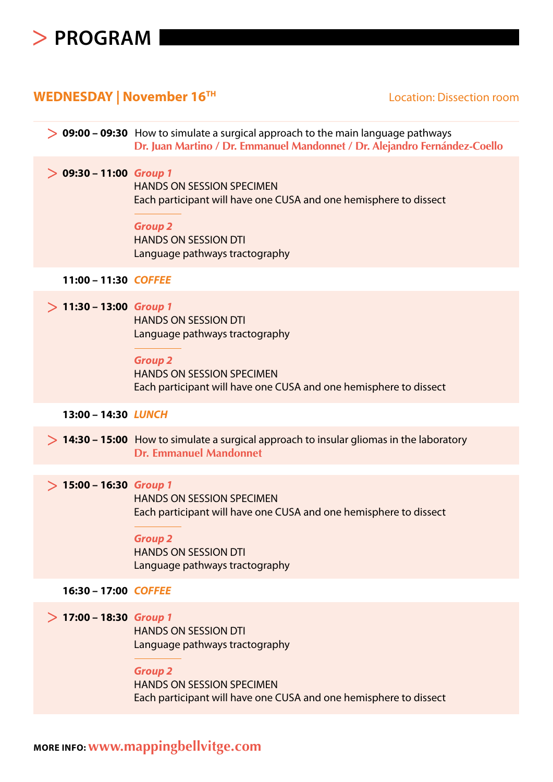

## **WEDNESDAY | November 16TH**

#### Location: Dissection room

|                           | $\geq 09:00$ – 09:30 How to simulate a surgical approach to the main language pathways<br>Dr. Juan Martino / Dr. Emmanuel Mandonnet / Dr. Alejandro Fernández-Coello                     |
|---------------------------|------------------------------------------------------------------------------------------------------------------------------------------------------------------------------------------|
| $> 09:30 - 11:00$ Group 1 | <b>HANDS ON SESSION SPECIMEN</b><br>Each participant will have one CUSA and one hemisphere to dissect<br><b>Group 2</b><br><b>HANDS ON SESSION DTI</b><br>Language pathways tractography |
| 11:00 - 11:30 COFFEE      |                                                                                                                                                                                          |
| $> 11:30 - 13:00$ Group 1 | <b>HANDS ON SESSION DTI</b><br>Language pathways tractography<br><b>Group 2</b><br><b>HANDS ON SESSION SPECIMEN</b><br>Each participant will have one CUSA and one hemisphere to dissect |
|                           |                                                                                                                                                                                          |
| 13:00 - 14:30 LUNCH       |                                                                                                                                                                                          |
|                           | $> 14:30 - 15:00$ How to simulate a surgical approach to insular gliomas in the laboratory<br><b>Dr. Emmanuel Mandonnet</b>                                                              |
| $> 15:00 - 16:30$ Group 1 | <b>HANDS ON SESSION SPECIMEN</b><br>Each participant will have one CUSA and one hemisphere to dissect<br><b>Group 2</b><br><b>HANDS ON SESSION DTI</b><br>Language pathways tractography |
| 16:30 - 17:00 COFFEE      |                                                                                                                                                                                          |
| $> 17:00 - 18:30$ Group 1 | <b>HANDS ON SESSION DTI</b><br>Language pathways tractography<br><b>Group 2</b><br><b>HANDS ON SESSION SPECIMEN</b><br>Each participant will have one CUSA and one hemisphere to dissect |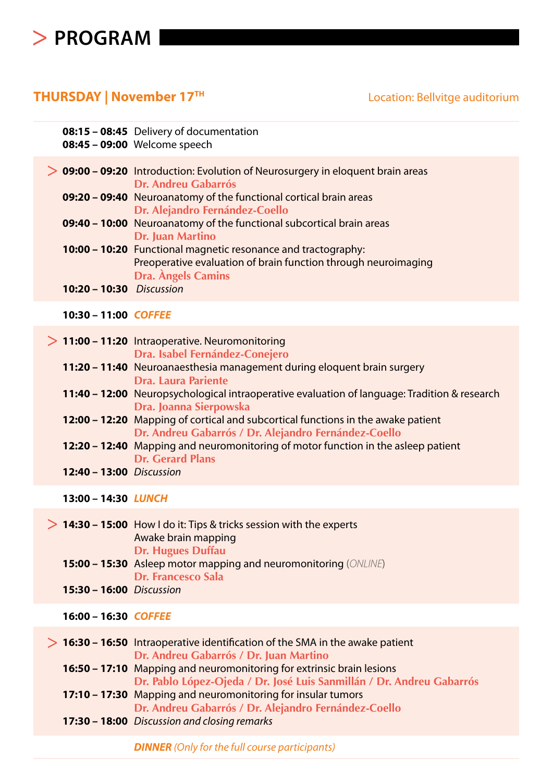## **PROGRAM**

### **THURSDAY | November 17TH**

Location: Bellvitge auditorium

|                          | 08:15 - 08:45 Delivery of documentation<br>08:45 - 09:00 Welcome speech                                                                                                                                                                                                                                                                                                                                                                                                                                                                                                     |
|--------------------------|-----------------------------------------------------------------------------------------------------------------------------------------------------------------------------------------------------------------------------------------------------------------------------------------------------------------------------------------------------------------------------------------------------------------------------------------------------------------------------------------------------------------------------------------------------------------------------|
| 10:20 - 10:30 Discussion | > 09:00 - 09:20 Introduction: Evolution of Neurosurgery in eloquent brain areas<br><b>Dr. Andreu Gabarrós</b><br>09:20 - 09:40 Neuroanatomy of the functional cortical brain areas<br>Dr. Alejandro Fernández-Coello<br>09:40 - 10:00 Neuroanatomy of the functional subcortical brain areas<br><b>Dr. Juan Martino</b><br>10:00 - 10:20 Functional magnetic resonance and tractography:<br>Preoperative evaluation of brain function through neuroimaging<br><b>Dra. Angels Camins</b>                                                                                     |
| 10:30 - 11:00 COFFEE     |                                                                                                                                                                                                                                                                                                                                                                                                                                                                                                                                                                             |
| 12:40 - 13:00 Discussion | $> 11:00 - 11:20$ Intraoperative. Neuromonitoring<br>Dra. Isabel Fernández-Conejero<br>11:20 - 11:40 Neuroanaesthesia management during eloquent brain surgery<br>Dra. Laura Pariente<br>11:40 - 12:00 Neuropsychological intraoperative evaluation of language: Tradition & research<br>Dra. Joanna Sierpowska<br>12:00 - 12:20 Mapping of cortical and subcortical functions in the awake patient<br>Dr. Andreu Gabarrós / Dr. Alejandro Fernández-Coello<br>12:20 - 12:40 Mapping and neuromonitoring of motor function in the asleep patient<br><b>Dr. Gerard Plans</b> |
| 13:00 - 14:30 LUNCH      |                                                                                                                                                                                                                                                                                                                                                                                                                                                                                                                                                                             |
| 15:30 - 16:00 Discussion | $> 14:30 - 15:00$ How I do it: Tips & tricks session with the experts<br>Awake brain mapping<br><b>Dr. Hugues Duffau</b><br>15:00 - 15:30 Asleep motor mapping and neuromonitoring (ONLINE)<br><b>Dr. Francesco Sala</b>                                                                                                                                                                                                                                                                                                                                                    |
| 16:00 - 16:30 COFFEE     |                                                                                                                                                                                                                                                                                                                                                                                                                                                                                                                                                                             |
|                          | $> 16:30 - 16:50$ Intraoperative identification of the SMA in the awake patient<br>Dr. Andreu Gabarrós / Dr. Juan Martino<br>16:50 - 17:10 Mapping and neuromonitoring for extrinsic brain lesions<br>Dr. Pablo López-Ojeda / Dr. José Luis Sanmillán / Dr. Andreu Gabarrós<br>17:10 - 17:30 Mapping and neuromonitoring for insular tumors<br>Dr. Andreu Gabarrós / Dr. Alejandro Fernández-Coello<br>17:30 - 18:00 Discussion and closing remarks                                                                                                                         |
|                          | <b>DINNER</b> (Only for the full course participants)                                                                                                                                                                                                                                                                                                                                                                                                                                                                                                                       |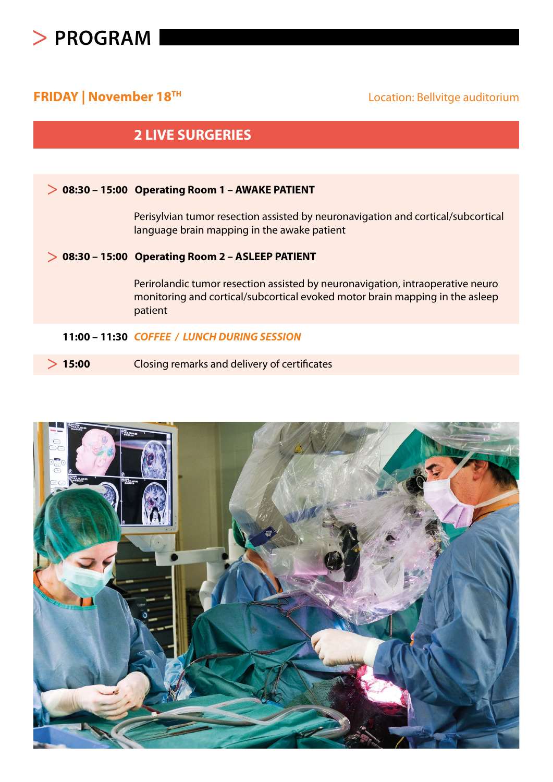

### **FRIDAY | November 18<sup>TH</sup>**  $\qquad \qquad$  Location: Bellvitge auditorium

### **2 LIVE SURGERIES**

#### **08:30 – 15:00 Operating Room 1 – AWAKE PATIENT**

Perisylvian tumor resection assisted by neuronavigation and cortical/subcortical language brain mapping in the awake patient

#### **08:30 – 15:00 Operating Room 2 – ASLEEP PATIENT**

Perirolandic tumor resection assisted by neuronavigation, intraoperative neuro monitoring and cortical/subcortical evoked motor brain mapping in the asleep patient

#### **11:00 – 11:30** *COFFEE / LUNCH DURING SESSION*

**15:00** Closing remarks and delivery of certificates

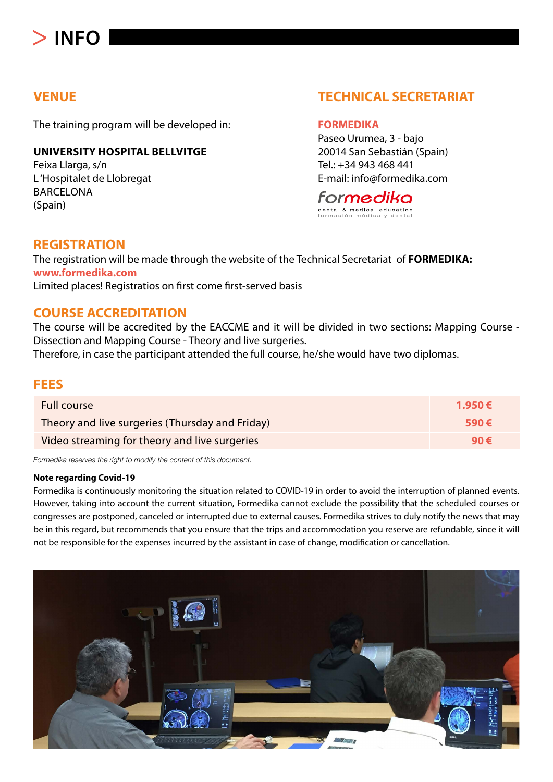## **INFO**

### **VENUE**

The training program will be developed in:

#### **UNIVERSITY HOSPITAL BELLVITGE**

Feixa Llarga, s/n L 'Hospitalet de Llobregat BARCELONA (Spain)

### **TECHNICAL SECRETARIAT**

#### **FORMEDIKA**

Paseo Urumea, 3 - bajo 20014 San Sebastián (Spain) Tel.: +34 943 468 441 E-mail: info@formedika.com



#### **REGISTRATION**

The registration will be made through the website of the Technical Secretariat of **FORMEDIKA: www.formedika.com** Limited places! Registratios on first come first-served basis

#### **COURSE ACCREDITATION**

The course will be accredited by the EACCME and it will be divided in two sections: Mapping Course - Dissection and Mapping Course - Theory and live surgeries.

Therefore, in case the participant attended the full course, he/she would have two diplomas.

#### **FEES**

| <b>Full course</b>                              | 1.950€         |
|-------------------------------------------------|----------------|
| Theory and live surgeries (Thursday and Friday) | 590 $\epsilon$ |
| Video streaming for theory and live surgeries   | 90 $\epsilon$  |

*Formedika reserves the right to modify the content of this document.*

#### **Note regarding Covid-19**

Formedika is continuously monitoring the situation related to COVID-19 in order to avoid the interruption of planned events. However, taking into account the current situation, Formedika cannot exclude the possibility that the scheduled courses or congresses are postponed, canceled or interrupted due to external causes. Formedika strives to duly notify the news that may be in this regard, but recommends that you ensure that the trips and accommodation you reserve are refundable, since it will not be responsible for the expenses incurred by the assistant in case of change, modification or cancellation.